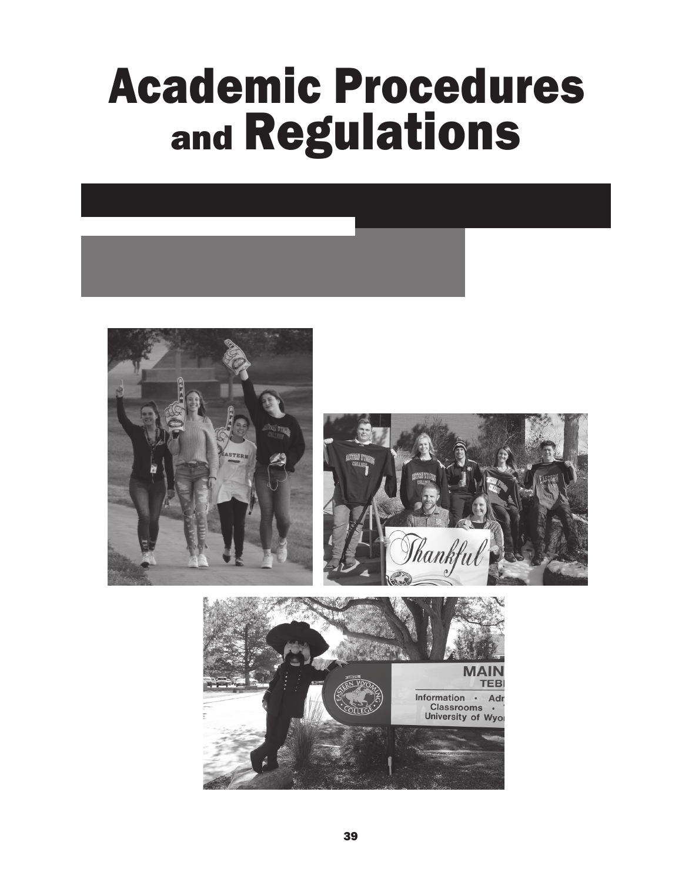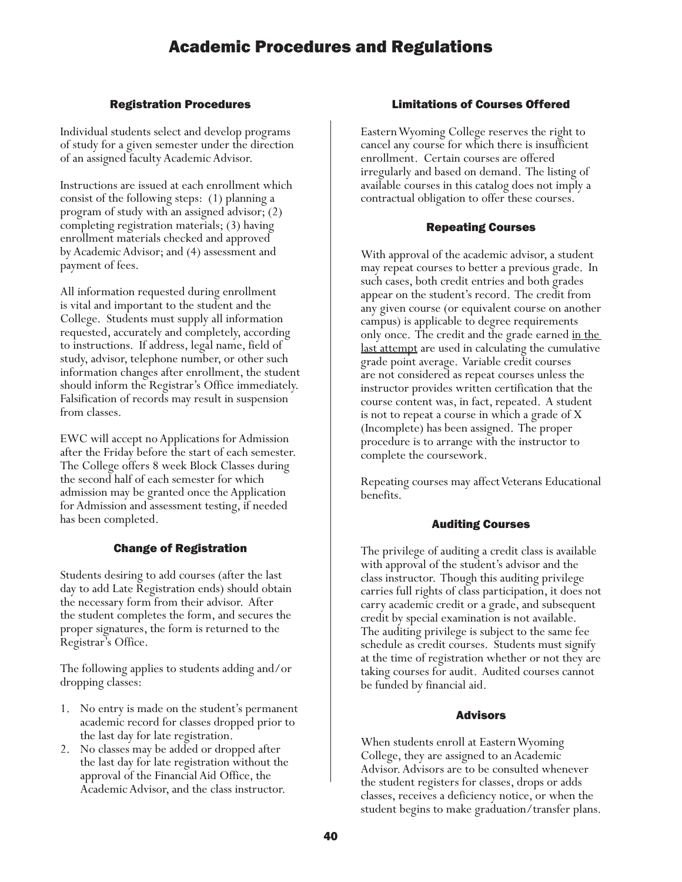# Registration Procedures

Individual students select and develop programs of study for a given semester under the direction of an assigned faculty Academic Advisor.

Instructions are issued at each enrollment which consist of the following steps: (1) planning a program of study with an assigned advisor; (2) completing registration materials; (3) having enrollment materials checked and approved by Academic Advisor; and (4) assessment and payment of fees.

All information requested during enrollment is vital and important to the student and the College. Students must supply all information requested, accurately and completely, according to instructions. If address, legal name, field of study, advisor, telephone number, or other such information changes after enrollment, the student should inform the Registrar's Office immediately. Falsification of records may result in suspension from classes.

EWC will accept no Applications for Admission after the Friday before the start of each semester. The College offers 8 week Block Classes during the second half of each semester for which admission may be granted once the Application for Admission and assessment testing, if needed has been completed.

# Change of Registration

Students desiring to add courses (after the last day to add Late Registration ends) should obtain the necessary form from their advisor. After the student completes the form, and secures the proper signatures, the form is returned to the Registrar's Office.

The following applies to students adding and/or dropping classes:

- 1. No entry is made on the student's permanent academic record for classes dropped prior to the last day for late registration.
- 2. No classes may be added or dropped after the last day for late registration without the approval of the Financial Aid Office, the Academic Advisor, and the class instructor.

# Limitations of Courses Offered

Eastern Wyoming College reserves the right to cancel any course for which there is insufficient enrollment. Certain courses are offered irregularly and based on demand. The listing of available courses in this catalog does not imply a contractual obligation to offer these courses.

# Repeating Courses

With approval of the academic advisor, a student may repeat courses to better a previous grade. In such cases, both credit entries and both grades appear on the student's record. The credit from any given course (or equivalent course on another campus) is applicable to degree requirements only once. The credit and the grade earned in the last attempt are used in calculating the cumulative grade point average. Variable credit courses are not considered as repeat courses unless the instructor provides written certification that the course content was, in fact, repeated. A student is not to repeat a course in which a grade of X (Incomplete) has been assigned. The proper procedure is to arrange with the instructor to complete the coursework.

Repeating courses may affect Veterans Educational benefits.

# Auditing Courses

The privilege of auditing a credit class is available with approval of the student's advisor and the class instructor. Though this auditing privilege carries full rights of class participation, it does not carry academic credit or a grade, and subsequent credit by special examination is not available. The auditing privilege is subject to the same fee schedule as credit courses. Students must signify at the time of registration whether or not they are taking courses for audit. Audited courses cannot be funded by financial aid.

### Advisors

When students enroll at Eastern Wyoming College, they are assigned to an Academic Advisor. Advisors are to be consulted whenever the student registers for classes, drops or adds classes, receives a deficiency notice, or when the student begins to make graduation/transfer plans.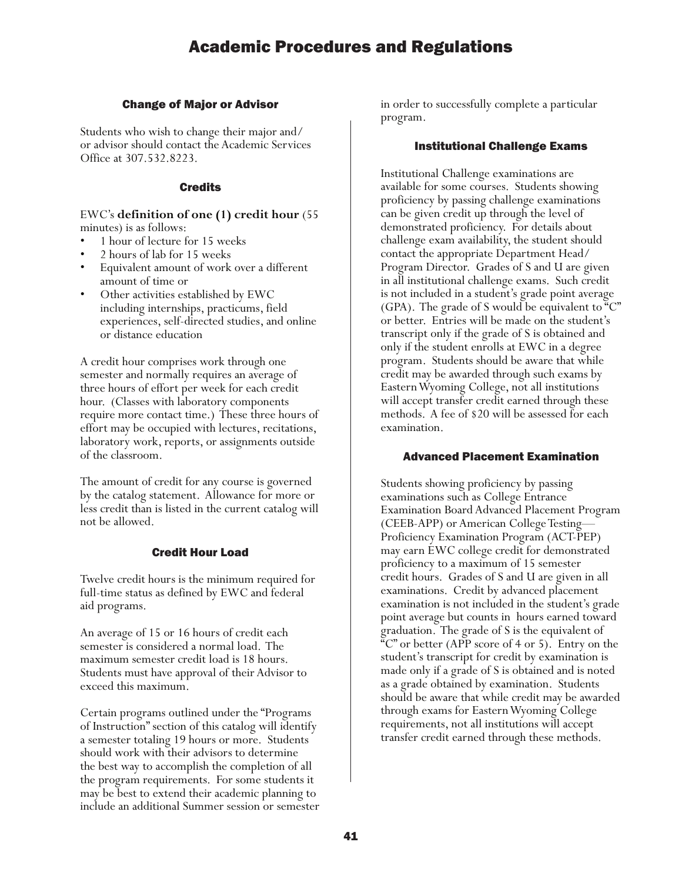### Change of Major or Advisor

Students who wish to change their major and/ or advisor should contact the Academic Services Office at 307.532.8223.

### Credits

### EWC's **definition of one (1) credit hour** (55 minutes) is as follows:

- 1 hour of lecture for 15 weeks
- 2 hours of lab for 15 weeks
- Equivalent amount of work over a different amount of time or
- Other activities established by EWC including internships, practicums, field experiences, self-directed studies, and online or distance education

A credit hour comprises work through one semester and normally requires an average of three hours of effort per week for each credit hour. (Classes with laboratory components require more contact time.) These three hours of effort may be occupied with lectures, recitations, laboratory work, reports, or assignments outside of the classroom.

The amount of credit for any course is governed by the catalog statement. Allowance for more or less credit than is listed in the current catalog will not be allowed.

### Credit Hour Load

Twelve credit hours is the minimum required for full-time status as defined by EWC and federal aid programs.

An average of 15 or 16 hours of credit each semester is considered a normal load. The maximum semester credit load is 18 hours. Students must have approval of their Advisor to exceed this maximum.

Certain programs outlined under the "Programs of Instruction" section of this catalog will identify a semester totaling 19 hours or more. Students should work with their advisors to determine the best way to accomplish the completion of all the program requirements. For some students it may be best to extend their academic planning to include an additional Summer session or semester in order to successfully complete a particular program.

### Institutional Challenge Exams

Institutional Challenge examinations are available for some courses. Students showing proficiency by passing challenge examinations can be given credit up through the level of demonstrated proficiency. For details about challenge exam availability, the student should contact the appropriate Department Head/ Program Director. Grades of S and U are given in all institutional challenge exams. Such credit is not included in a student's grade point average (GPA). The grade of S would be equivalent to "C" or better. Entries will be made on the student's transcript only if the grade of S is obtained and only if the student enrolls at EWC in a degree program. Students should be aware that while credit may be awarded through such exams by Eastern Wyoming College, not all institutions will accept transfer credit earned through these methods. A fee of \$20 will be assessed for each examination.

### Advanced Placement Examination

Students showing proficiency by passing examinations such as College Entrance Examination Board Advanced Placement Program (CEEB-APP) or American College Testing— Proficiency Examination Program (ACT-PEP) may earn EWC college credit for demonstrated proficiency to a maximum of 15 semester credit hours. Grades of S and U are given in all examinations. Credit by advanced placement examination is not included in the student's grade point average but counts in hours earned toward graduation. The grade of S is the equivalent of "C" or better (APP score of 4 or 5). Entry on the student's transcript for credit by examination is made only if a grade of S is obtained and is noted as a grade obtained by examination. Students should be aware that while credit may be awarded through exams for Eastern Wyoming College requirements, not all institutions will accept transfer credit earned through these methods.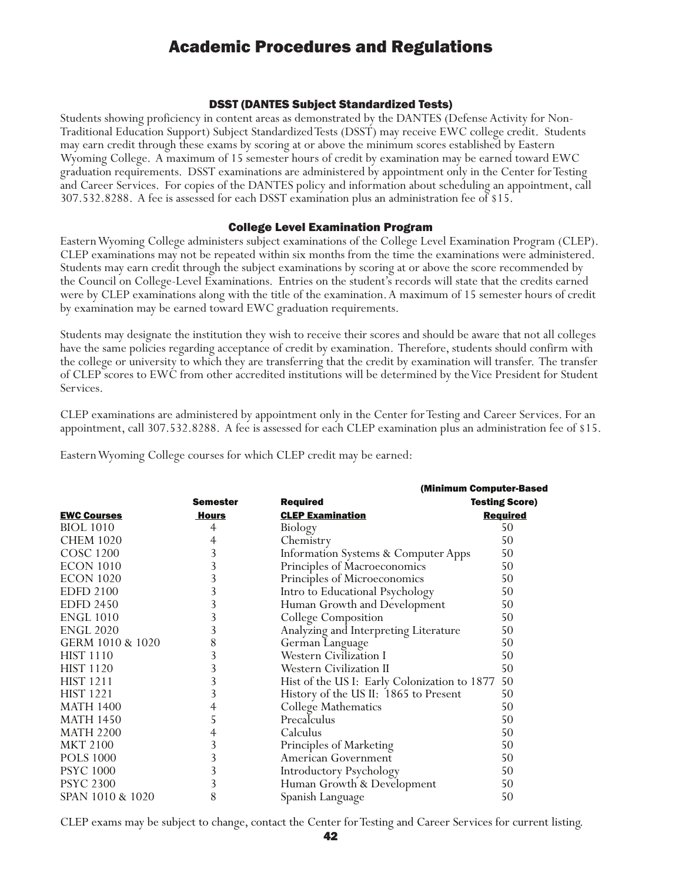### DSST (DANTES Subject Standardized Tests)

Students showing proficiency in content areas as demonstrated by the DANTES (Defense Activity for Non-Traditional Education Support) Subject Standardized Tests (DSST) may receive EWC college credit. Students may earn credit through these exams by scoring at or above the minimum scores established by Eastern Wyoming College. A maximum of 15 semester hours of credit by examination may be earned toward EWC graduation requirements. DSST examinations are administered by appointment only in the Center for Testing and Career Services. For copies of the DANTES policy and information about scheduling an appointment, call 307.532.8288. A fee is assessed for each DSST examination plus an administration fee of \$15.

### College Level Examination Program

Eastern Wyoming College administers subject examinations of the College Level Examination Program (CLEP). CLEP examinations may not be repeated within six months from the time the examinations were administered. Students may earn credit through the subject examinations by scoring at or above the score recommended by the Council on College-Level Examinations. Entries on the student's records will state that the credits earned were by CLEP examinations along with the title of the examination. A maximum of 15 semester hours of credit by examination may be earned toward EWC graduation requirements.

Students may designate the institution they wish to receive their scores and should be aware that not all colleges have the same policies regarding acceptance of credit by examination. Therefore, students should confirm with the college or university to which they are transferring that the credit by examination will transfer. The transfer of CLEP scores to EWC from other accredited institutions will be determined by the Vice President for Student Services.

CLEP examinations are administered by appointment only in the Center for Testing and Career Services. For an appointment, call 307.532.8288. A fee is assessed for each CLEP examination plus an administration fee of \$15.

Eastern Wyoming College courses for which CLEP credit may be earned:

|                    |                 |                                              | (Minimum Computer-Based |
|--------------------|-----------------|----------------------------------------------|-------------------------|
|                    | <b>Semester</b> | <b>Required</b>                              | <b>Testing Score)</b>   |
| <b>EWC Courses</b> | Hours           | <b>CLEP Examination</b>                      | <b>Required</b>         |
| <b>BIOL</b> 1010   | 4               | Biology                                      | 50                      |
| <b>CHEM 1020</b>   | 4               | Chemistry                                    | 50                      |
| <b>COSC 1200</b>   | 3               | Information Systems & Computer Apps          | 50                      |
| <b>ECON 1010</b>   | 3               | Principles of Macroeconomics                 | 50                      |
| <b>ECON 1020</b>   | 3               | Principles of Microeconomics                 | 50                      |
| <b>EDFD 2100</b>   | 3               | Intro to Educational Psychology              | 50                      |
| <b>EDFD 2450</b>   | 3               | Human Growth and Development                 | 50                      |
| <b>ENGL 1010</b>   | 3               | College Composition                          | 50                      |
| <b>ENGL 2020</b>   | 3               | Analyzing and Interpreting Literature        | 50                      |
| GERM 1010 & 1020   | 8               | German Language                              | 50                      |
| <b>HIST 1110</b>   | 3               | <b>Western Civilization I</b>                | 50                      |
| <b>HIST 1120</b>   | 3               | <b>Western Civilization II</b>               | 50                      |
| <b>HIST 1211</b>   | 3               | Hist of the US I: Early Colonization to 1877 | 50                      |
| <b>HIST 1221</b>   | 3               | History of the US II: 1865 to Present        | 50                      |
| <b>MATH 1400</b>   | 4               | College Mathematics                          | 50                      |
| <b>MATH 1450</b>   | 5               | Precalculus                                  | 50                      |
| <b>MATH 2200</b>   | 4               | Calculus                                     | 50                      |
| <b>MKT 2100</b>    | 3               | Principles of Marketing                      | 50                      |
| <b>POLS 1000</b>   | 3               | American Government                          | 50                      |
| <b>PSYC 1000</b>   | 3               | Introductory Psychology                      | 50                      |
| <b>PSYC 2300</b>   | 3               | Human Growth & Development                   | 50                      |
| SPAN 1010 & 1020   | 8               | Spanish Language                             | 50                      |

CLEP exams may be subject to change, contact the Center for Testing and Career Services for current listing.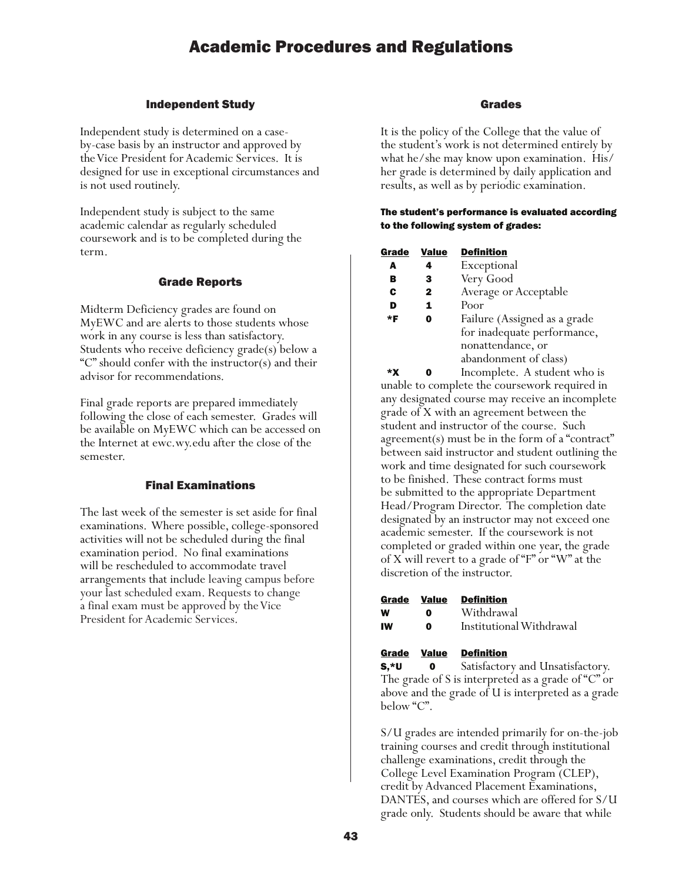### Independent Study

Independent study is determined on a caseby-case basis by an instructor and approved by the Vice President for Academic Services. It is designed for use in exceptional circumstances and is not used routinely.

Independent study is subject to the same academic calendar as regularly scheduled coursework and is to be completed during the term.

### Grade Reports

Midterm Deficiency grades are found on MyEWC and are alerts to those students whose work in any course is less than satisfactory. Students who receive deficiency grade(s) below a "C" should confer with the instructor(s) and their advisor for recommendations.

Final grade reports are prepared immediately following the close of each semester. Grades will be available on MyEWC which can be accessed on the Internet at ewc.wy.edu after the close of the semester.

### Final Examinations

The last week of the semester is set aside for final examinations. Where possible, college-sponsored activities will not be scheduled during the final examination period. No final examinations will be rescheduled to accommodate travel arrangements that include leaving campus before your last scheduled exam. Requests to change a final exam must be approved by the Vice President for Academic Services.

### Grades

It is the policy of the College that the value of the student's work is not determined entirely by what he/she may know upon examination. His/ her grade is determined by daily application and results, as well as by periodic examination.

#### The student's performance is evaluated according to the following system of grades:

| Grade | Value | <b>Definition</b>            |
|-------|-------|------------------------------|
| A     | 4     | Exceptional                  |
| в     | 3     | Very Good                    |
| C     | 2     | Average or Acceptable        |
| D     | 1     | Poor                         |
| *F    | 0     | Failure (Assigned as a grade |
|       |       | for inadequate performance,  |
|       |       | nonattendance, or            |
|       |       | abandonment of class)        |
|       |       | T 1. A.I.I.                  |

 \*X 0 Incomplete. A student who is unable to complete the coursework required in any designated course may receive an incomplete grade of X with an agreement between the student and instructor of the course. Such agreement(s) must be in the form of a "contract" between said instructor and student outlining the work and time designated for such coursework to be finished. These contract forms must be submitted to the appropriate Department Head/Program Director. The completion date designated by an instructor may not exceed one academic semester. If the coursework is not completed or graded within one year, the grade of X will revert to a grade of "F" or "W" at the discretion of the instructor.

| Grade | Value | <b>Definition</b>        |
|-------|-------|--------------------------|
| w     | o     | Withdrawal               |
| IW    | 0     | Institutional Withdrawal |

#### Grade Value Definition

S,\*U 0 Satisfactory and Unsatisfactory. The grade of S is interpreted as a grade of "C" or above and the grade of U is interpreted as a grade below "C".

S/U grades are intended primarily for on-the-job training courses and credit through institutional challenge examinations, credit through the College Level Examination Program (CLEP), credit by Advanced Placement Examinations, DANTES, and courses which are offered for S/U grade only. Students should be aware that while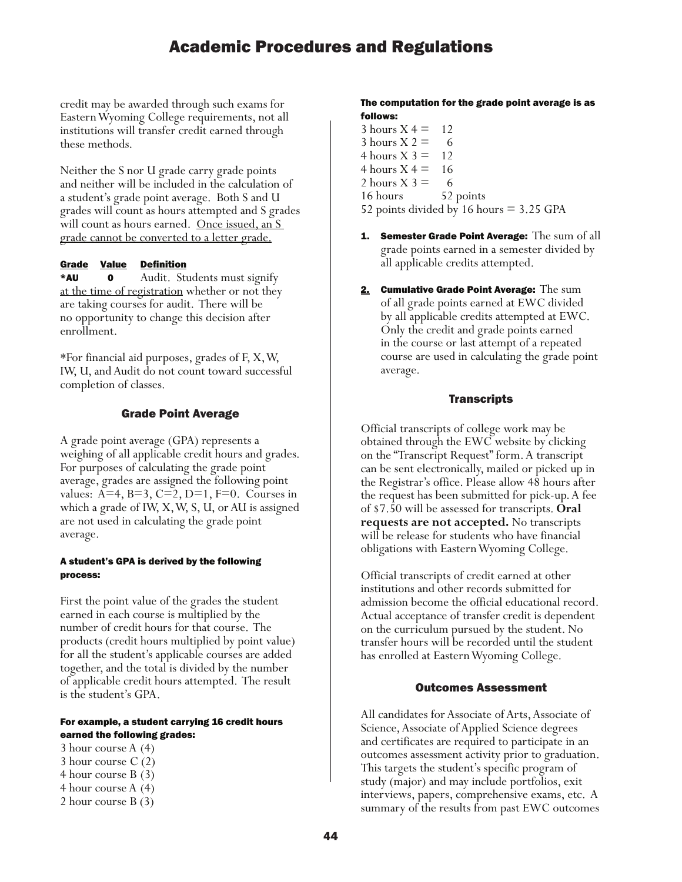credit may be awarded through such exams for Eastern Wyoming College requirements, not all institutions will transfer credit earned through these methods.

Neither the S nor U grade carry grade points and neither will be included in the calculation of a student's grade point average. Both S and U grades will count as hours attempted and S grades will count as hours earned. <u>Once issued, an S</u> grade cannot be converted to a letter grade.

### Grade Value Definition

\*AU 0 Audit. Students must signify at the time of registration whether or not they are taking courses for audit. There will be no opportunity to change this decision after enrollment.

\*For financial aid purposes, grades of F, X, W, IW, U, and Audit do not count toward successful completion of classes.

### Grade Point Average

A grade point average (GPA) represents a weighing of all applicable credit hours and grades. For purposes of calculating the grade point average, grades are assigned the following point values:  $A=4$ ,  $B=3$ ,  $C=2$ ,  $D=1$ ,  $F=0$ . Courses in which a grade of IW, X, W, S, U, or AU is assigned are not used in calculating the grade point average.

### A student's GPA is derived by the following process:

First the point value of the grades the student earned in each course is multiplied by the number of credit hours for that course. The products (credit hours multiplied by point value) for all the student's applicable courses are added together, and the total is divided by the number of applicable credit hours attempted. The result is the student's GPA.

#### For example, a student carrying 16 credit hours earned the following grades:

- 3 hour course A (4)
- 3 hour course C (2)
- 4 hour course B (3)
- 4 hour course A (4)
- 2 hour course B (3)

### The computation for the grade point average is as follows:

- $3$  hours  $X = 12$ 3 hours  $X 2 = 6$ 4 hours  $X = 12$ 4 hours  $X = 16$ 2 hours  $X$  3 = 6 16 hours 52 points 52 points divided by 16 hours = 3.25 GPA
- 1. Semester Grade Point Average: The sum of all grade points earned in a semester divided by all applicable credits attempted.
- 2. Cumulative Grade Point Average:  $The sum$ of all grade points earned at EWC divided by all applicable credits attempted at EWC. Only the credit and grade points earned in the course or last attempt of a repeated course are used in calculating the grade point average.

### **Transcripts**

Official transcripts of college work may be obtained through the EWC website by clicking on the "Transcript Request" form. A transcript can be sent electronically, mailed or picked up in the Registrar's office. Please allow 48 hours after the request has been submitted for pick-up. A fee of \$7.50 will be assessed for transcripts. **Oral requests are not accepted.** No transcripts will be release for students who have financial obligations with Eastern Wyoming College.

Official transcripts of credit earned at other institutions and other records submitted for admission become the official educational record. Actual acceptance of transfer credit is dependent on the curriculum pursued by the student. No transfer hours will be recorded until the student has enrolled at Eastern Wyoming College.

### Outcomes Assessment

All candidates for Associate of Arts, Associate of Science, Associate of Applied Science degrees and certificates are required to participate in an outcomes assessment activity prior to graduation. This targets the student's specific program of study (major) and may include portfolios, exit interviews, papers, comprehensive exams, etc. A summary of the results from past EWC outcomes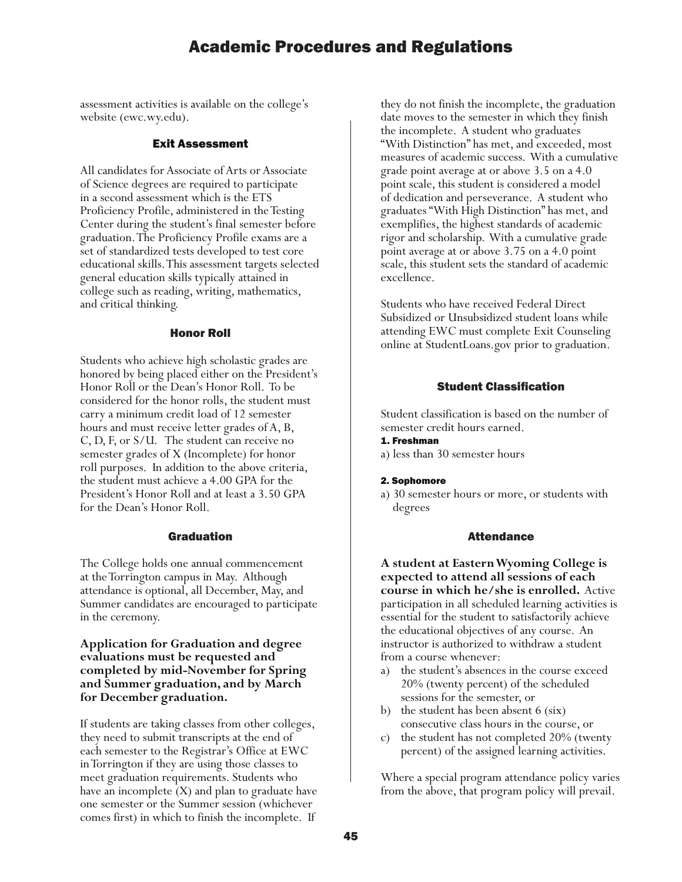assessment activities is available on the college's website (ewc.wy.edu).

### Exit Assessment

All candidates for Associate of Arts or Associate of Science degrees are required to participate in a second assessment which is the ETS Proficiency Profile, administered in the Testing Center during the student's final semester before graduation. The Proficiency Profile exams are a set of standardized tests developed to test core educational skills. This assessment targets selected general education skills typically attained in college such as reading, writing, mathematics, and critical thinking.

#### Honor Roll

Students who achieve high scholastic grades are honored by being placed either on the President's Honor Roll or the Dean's Honor Roll. To be considered for the honor rolls, the student must carry a minimum credit load of 12 semester hours and must receive letter grades of A, B, C, D, F, or S/U. The student can receive no semester grades of X (Incomplete) for honor roll purposes. In addition to the above criteria, the student must achieve a 4.00 GPA for the President's Honor Roll and at least a 3.50 GPA for the Dean's Honor Roll.

### Graduation

The College holds one annual commencement at the Torrington campus in May. Although attendance is optional, all December, May, and Summer candidates are encouraged to participate in the ceremony.

### **Application for Graduation and degree evaluations must be requested and completed by mid-November for Spring and Summer graduation, and by March for December graduation.**

If students are taking classes from other colleges, they need to submit transcripts at the end of each semester to the Registrar's Office at EWC in Torrington if they are using those classes to meet graduation requirements. Students who have an incomplete (X) and plan to graduate have one semester or the Summer session (whichever comes first) in which to finish the incomplete. If

they do not finish the incomplete, the graduation date moves to the semester in which they finish the incomplete. A student who graduates "With Distinction" has met, and exceeded, most measures of academic success. With a cumulative grade point average at or above 3.5 on a 4.0 point scale, this student is considered a model of dedication and perseverance. A student who graduates "With High Distinction" has met, and exemplifies, the highest standards of academic rigor and scholarship. With a cumulative grade point average at or above 3.75 on a 4.0 point scale, this student sets the standard of academic excellence.

Students who have received Federal Direct Subsidized or Unsubsidized student loans while attending EWC must complete Exit Counseling online at StudentLoans.gov prior to graduation.

### Student Classification

Student classification is based on the number of semester credit hours earned.

### 1. Freshman

a) less than 30 semester hours

#### 2. Sophomore

a) 30 semester hours or more, or students with degrees

### Attendance

**A student at Eastern Wyoming College is expected to attend all sessions of each course in which he/she is enrolled.** Active participation in all scheduled learning activities is essential for the student to satisfactorily achieve the educational objectives of any course. An instructor is authorized to withdraw a student from a course whenever:

- a) the student's absences in the course exceed 20% (twenty percent) of the scheduled sessions for the semester, or
- b) the student has been absent 6 (six) consecutive class hours in the course, or
- c) the student has not completed 20% (twenty percent) of the assigned learning activities.

Where a special program attendance policy varies from the above, that program policy will prevail.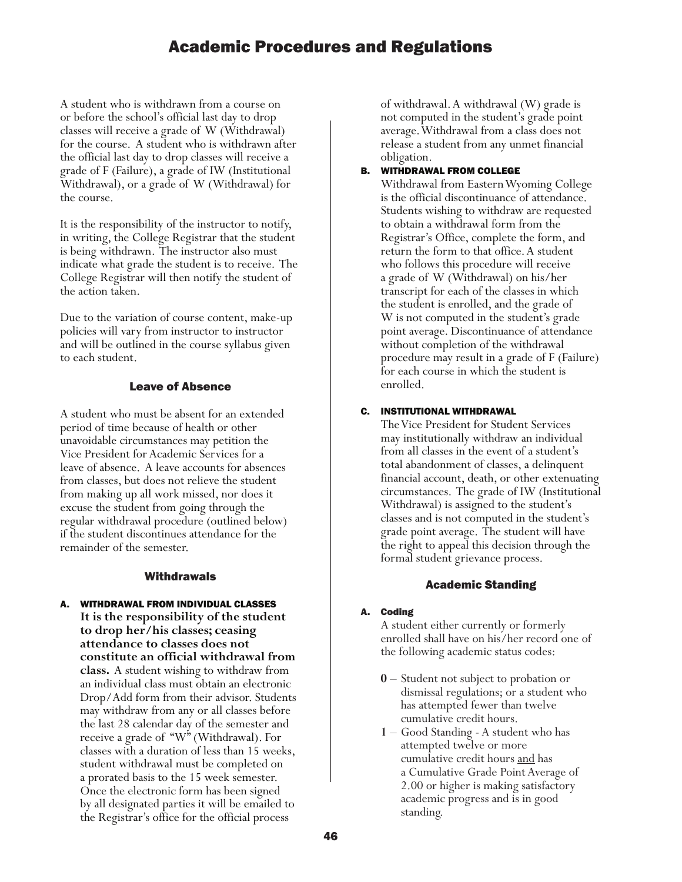A student who is withdrawn from a course on or before the school's official last day to drop classes will receive a grade of W (Withdrawal) for the course. A student who is withdrawn after the official last day to drop classes will receive a grade of F (Failure), a grade of IW (Institutional Withdrawal), or a grade of W (Withdrawal) for the course.

It is the responsibility of the instructor to notify, in writing, the College Registrar that the student is being withdrawn. The instructor also must indicate what grade the student is to receive. The College Registrar will then notify the student of the action taken.

Due to the variation of course content, make-up policies will vary from instructor to instructor and will be outlined in the course syllabus given to each student.

### Leave of Absence

A student who must be absent for an extended period of time because of health or other unavoidable circumstances may petition the Vice President for Academic Services for a leave of absence. A leave accounts for absences from classes, but does not relieve the student from making up all work missed, nor does it excuse the student from going through the regular withdrawal procedure (outlined below) if the student discontinues attendance for the remainder of the semester.

### **Withdrawals**

A. WITHDRAWAL FROM INDIVIDUAL CLASSES **It is the responsibility of the student to drop her/his classes; ceasing attendance to classes does not constitute an official withdrawal from class.** A student wishing to withdraw from an individual class must obtain an electronic Drop/Add form from their advisor. Students may withdraw from any or all classes before the last 28 calendar day of the semester and receive a grade of "W" (Withdrawal). For classes with a duration of less than 15 weeks, student withdrawal must be completed on a prorated basis to the 15 week semester. Once the electronic form has been signed by all designated parties it will be emailed to the Registrar's office for the official process

of withdrawal. A withdrawal (W) grade is not computed in the student's grade point average. Withdrawal from a class does not release a student from any unmet financial obligation.

### B. WITHDRAWAL FROM COLLEGE

Withdrawal from Eastern Wyoming College is the official discontinuance of attendance. Students wishing to withdraw are requested to obtain a withdrawal form from the Registrar's Office, complete the form, and return the form to that office. A student who follows this procedure will receive a grade of W (Withdrawal) on his/her transcript for each of the classes in which the student is enrolled, and the grade of W is not computed in the student's grade point average. Discontinuance of attendance without completion of the withdrawal procedure may result in a grade of F (Failure) for each course in which the student is enrolled.

### C. INSTITUTIONAL WITHDRAWAL

The Vice President for Student Services may institutionally withdraw an individual from all classes in the event of a student's total abandonment of classes, a delinquent financial account, death, or other extenuating circumstances. The grade of IW (Institutional Withdrawal) is assigned to the student's classes and is not computed in the student's grade point average. The student will have the right to appeal this decision through the formal student grievance process.

### Academic Standing

#### A. Coding

A student either currently or formerly enrolled shall have on his/her record one of the following academic status codes:

- **0** Student not subject to probation or dismissal regulations; or a student who has attempted fewer than twelve cumulative credit hours.
- **1** Good Standing A student who has attempted twelve or more cumulative credit hours and has a Cumulative Grade Point Average of 2.00 or higher is making satisfactory academic progress and is in good standing.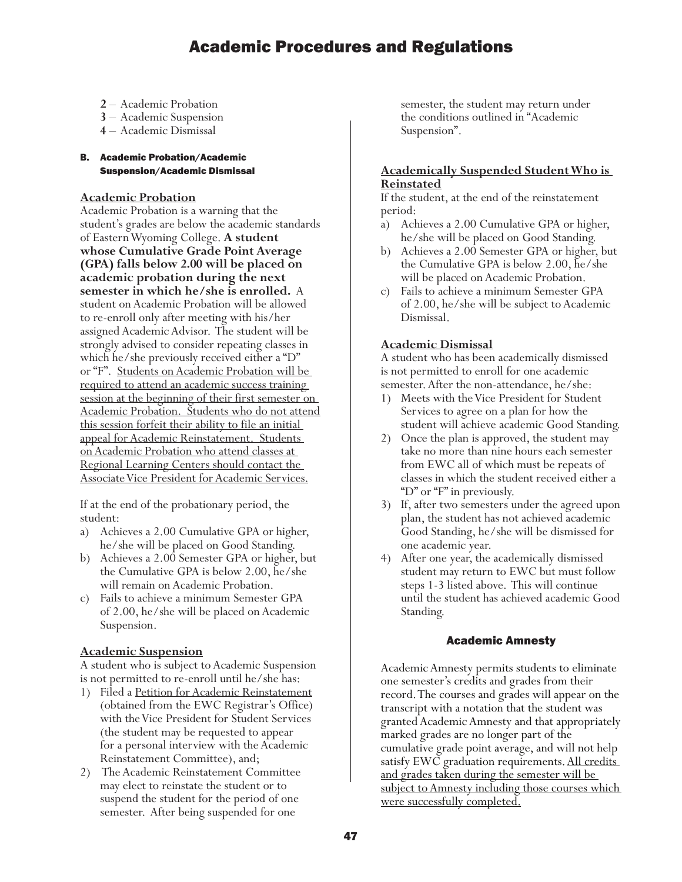- **2** Academic Probation
- **3** Academic Suspension
- **4** Academic Dismissal
- B. Academic Probation/Academic Suspension/Academic Dismissal

### **Academic Probation**

Academic Probation is a warning that the student's grades are below the academic standards of Eastern Wyoming College. **A student whose Cumulative Grade Point Average (GPA) falls below 2.00 will be placed on academic probation during the next semester in which he/she is enrolled.** A student on Academic Probation will be allowed to re-enroll only after meeting with his/her assigned Academic Advisor. The student will be strongly advised to consider repeating classes in which he/she previously received either a "D" or "F". Students on Academic Probation will be required to attend an academic success training session at the beginning of their first semester on Academic Probation. Students who do not attend this session forfeit their ability to file an initial appeal for Academic Reinstatement. Students on Academic Probation who attend classes at Regional Learning Centers should contact the Associate Vice President for Academic Services.

If at the end of the probationary period, the student:

- a) Achieves a 2.00 Cumulative GPA or higher, he/she will be placed on Good Standing.
- b) Achieves a 2.00 Semester GPA or higher, but the Cumulative GPA is below 2.00, he/she will remain on Academic Probation.
- c) Fails to achieve a minimum Semester GPA of 2.00, he/she will be placed on Academic Suspension.

### **Academic Suspension**

A student who is subject to Academic Suspension is not permitted to re-enroll until he/she has:

- 1) Filed a Petition for Academic Reinstatement (obtained from the EWC Registrar's Office) with the Vice President for Student Services (the student may be requested to appear for a personal interview with the Academic Reinstatement Committee), and;
- 2) The Academic Reinstatement Committee may elect to reinstate the student or to suspend the student for the period of one semester. After being suspended for one

semester, the student may return under the conditions outlined in "Academic Suspension".

### **Academically Suspended Student Who is Reinstated**

If the student, at the end of the reinstatement period:

- a) Achieves a 2.00 Cumulative GPA or higher, he/she will be placed on Good Standing.
- b) Achieves a 2.00 Semester GPA or higher, but the Cumulative GPA is below 2.00, he/she will be placed on Academic Probation.
- c) Fails to achieve a minimum Semester GPA of 2.00, he/she will be subject to Academic Dismissal.

### **Academic Dismissal**

A student who has been academically dismissed is not permitted to enroll for one academic semester. After the non-attendance, he/she:

- 1) Meets with the Vice President for Student Services to agree on a plan for how the student will achieve academic Good Standing.
- 2) Once the plan is approved, the student may take no more than nine hours each semester from EWC all of which must be repeats of classes in which the student received either a "D" or "F" in previously.
- 3) If, after two semesters under the agreed upon plan, the student has not achieved academic Good Standing, he/she will be dismissed for one academic year.
- 4) After one year, the academically dismissed student may return to EWC but must follow steps 1-3 listed above. This will continue until the student has achieved academic Good Standing.

### Academic Amnesty

Academic Amnesty permits students to eliminate one semester's credits and grades from their record. The courses and grades will appear on the transcript with a notation that the student was granted Academic Amnesty and that appropriately marked grades are no longer part of the cumulative grade point average, and will not help satisfy EWC graduation requirements. All credits and grades taken during the semester will be subject to Amnesty including those courses which were successfully completed.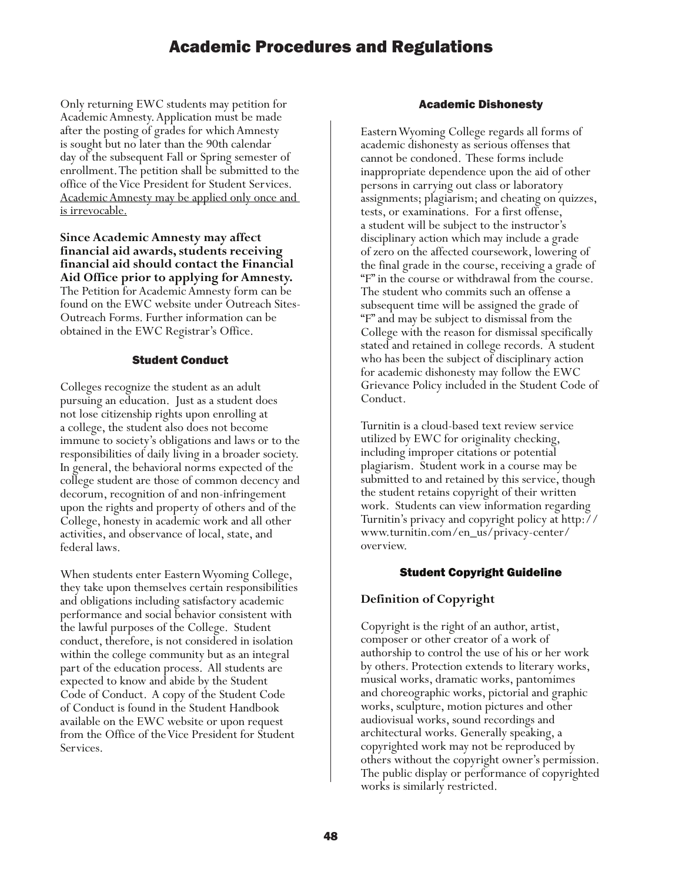Only returning EWC students may petition for Academic Amnesty. Application must be made after the posting of grades for which Amnesty is sought but no later than the 90th calendar day of the subsequent Fall or Spring semester of enrollment. The petition shall be submitted to the office of the Vice President for Student Services. Academic Amnesty may be applied only once and is irrevocable.

**Since Academic Amnesty may affect financial aid awards, students receiving financial aid should contact the Financial Aid Office prior to applying for Amnesty.**  The Petition for Academic Amnesty form can be found on the EWC website under Outreach Sites-Outreach Forms. Further information can be obtained in the EWC Registrar's Office.

### Student Conduct

Colleges recognize the student as an adult pursuing an education. Just as a student does not lose citizenship rights upon enrolling at a college, the student also does not become immune to society's obligations and laws or to the responsibilities of daily living in a broader society. In general, the behavioral norms expected of the college student are those of common decency and decorum, recognition of and non-infringement upon the rights and property of others and of the College, honesty in academic work and all other activities, and observance of local, state, and federal laws.

When students enter Eastern Wyoming College, they take upon themselves certain responsibilities and obligations including satisfactory academic performance and social behavior consistent with the lawful purposes of the College. Student conduct, therefore, is not considered in isolation within the college community but as an integral part of the education process. All students are expected to know and abide by the Student Code of Conduct. A copy of the Student Code of Conduct is found in the Student Handbook available on the EWC website or upon request from the Office of the Vice President for Student Services.

## Academic Dishonesty

Eastern Wyoming College regards all forms of academic dishonesty as serious offenses that cannot be condoned. These forms include inappropriate dependence upon the aid of other persons in carrying out class or laboratory assignments; plagiarism; and cheating on quizzes, tests, or examinations. For a first offense, a student will be subject to the instructor's disciplinary action which may include a grade of zero on the affected coursework, lowering of the final grade in the course, receiving a grade of "F" in the course or withdrawal from the course. The student who commits such an offense a subsequent time will be assigned the grade of "F" and may be subject to dismissal from the College with the reason for dismissal specifically stated and retained in college records. A student who has been the subject of disciplinary action for academic dishonesty may follow the EWC Grievance Policy included in the Student Code of Conduct.

Turnitin is a cloud-based text review service utilized by EWC for originality checking, including improper citations or potential plagiarism. Student work in a course may be submitted to and retained by this service, though the student retains copyright of their written work. Students can view information regarding Turnitin's privacy and copyright policy at http:// www.turnitin.com/en\_us/privacy-center/ overview.

### Student Copyright Guideline

# **Definition of Copyright**

Copyright is the right of an author, artist, composer or other creator of a work of authorship to control the use of his or her work by others. Protection extends to literary works, musical works, dramatic works, pantomimes and choreographic works, pictorial and graphic works, sculpture, motion pictures and other audiovisual works, sound recordings and architectural works. Generally speaking, a copyrighted work may not be reproduced by others without the copyright owner's permission. The public display or performance of copyrighted works is similarly restricted.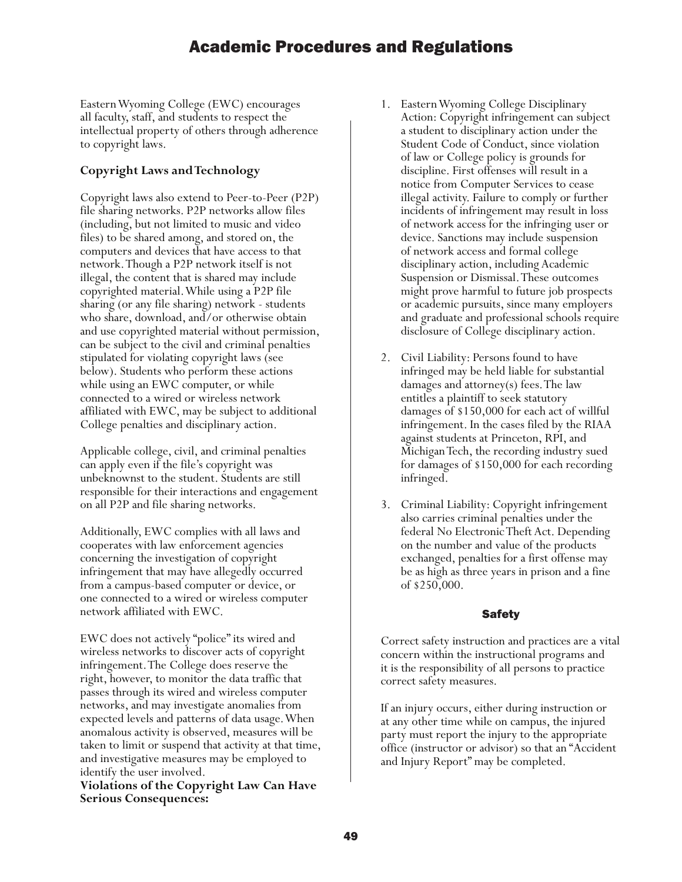Eastern Wyoming College (EWC) encourages all faculty, staff, and students to respect the intellectual property of others through adherence to copyright laws.

# **Copyright Laws and Technology**

Copyright laws also extend to Peer-to-Peer (P2P) file sharing networks. P2P networks allow files (including, but not limited to music and video files) to be shared among, and stored on, the computers and devices that have access to that network. Though a P2P network itself is not illegal, the content that is shared may include copyrighted material. While using a P2P file sharing (or any file sharing) network - students who share, download, and/or otherwise obtain and use copyrighted material without permission, can be subject to the civil and criminal penalties stipulated for violating copyright laws (see below). Students who perform these actions while using an EWC computer, or while connected to a wired or wireless network affiliated with EWC, may be subject to additional College penalties and disciplinary action.

Applicable college, civil, and criminal penalties can apply even if the file's copyright was unbeknownst to the student. Students are still responsible for their interactions and engagement on all P2P and file sharing networks.

Additionally, EWC complies with all laws and cooperates with law enforcement agencies concerning the investigation of copyright infringement that may have allegedly occurred from a campus-based computer or device, or one connected to a wired or wireless computer network affiliated with EWC.

EWC does not actively "police" its wired and wireless networks to discover acts of copyright infringement. The College does reserve the right, however, to monitor the data traffic that passes through its wired and wireless computer networks, and may investigate anomalies from expected levels and patterns of data usage. When anomalous activity is observed, measures will be taken to limit or suspend that activity at that time, and investigative measures may be employed to identify the user involved.

**Violations of the Copyright Law Can Have Serious Consequences:**

- 1. Eastern Wyoming College Disciplinary Action: Copyright infringement can subject a student to disciplinary action under the Student Code of Conduct, since violation of law or College policy is grounds for discipline. First offenses will result in a notice from Computer Services to cease illegal activity. Failure to comply or further incidents of infringement may result in loss of network access for the infringing user or device. Sanctions may include suspension of network access and formal college disciplinary action, including Academic Suspension or Dismissal. These outcomes might prove harmful to future job prospects or academic pursuits, since many employers and graduate and professional schools require disclosure of College disciplinary action.
- 2. Civil Liability: Persons found to have infringed may be held liable for substantial damages and attorney(s) fees. The law entitles a plaintiff to seek statutory damages of \$150,000 for each act of willful infringement. In the cases filed by the RIAA against students at Princeton, RPI, and Michigan Tech, the recording industry sued for damages of \$150,000 for each recording infringed.
- 3. Criminal Liability: Copyright infringement also carries criminal penalties under the federal No Electronic Theft Act. Depending on the number and value of the products exchanged, penalties for a first offense may be as high as three years in prison and a fine of \$250,000.

# Safety

Correct safety instruction and practices are a vital concern within the instructional programs and it is the responsibility of all persons to practice correct safety measures.

If an injury occurs, either during instruction or at any other time while on campus, the injured party must report the injury to the appropriate office (instructor or advisor) so that an "Accident and Injury Report" may be completed.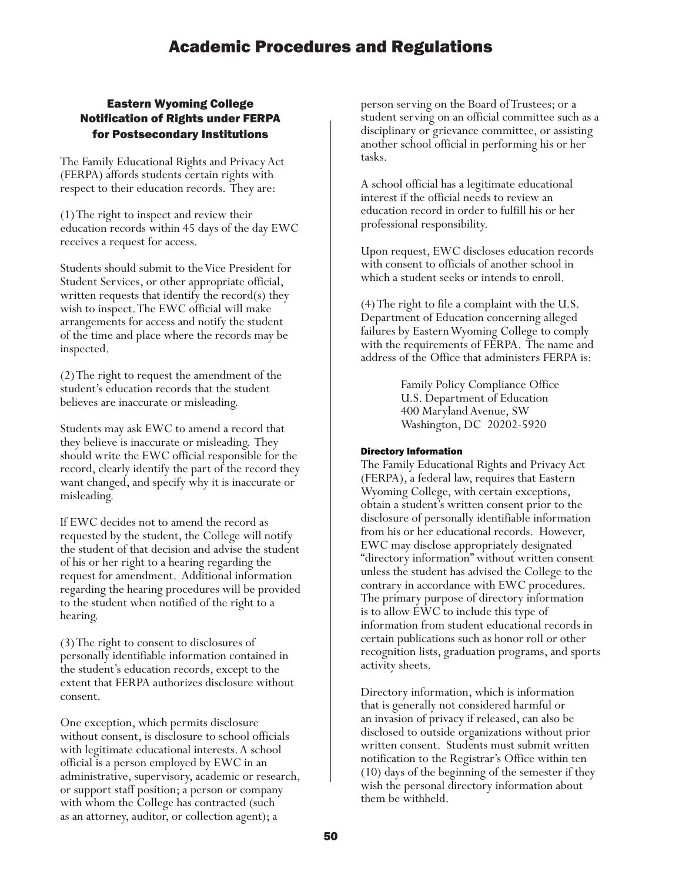# Eastern Wyoming College Notification of Rights under FERPA for Postsecondary Institutions

The Family Educational Rights and Privacy Act (FERPA) affords students certain rights with respect to their education records. They are:

(1) The right to inspect and review their education records within 45 days of the day EWC receives a request for access.

Students should submit to the Vice President for Student Services, or other appropriate official, written requests that identify the record(s) they wish to inspect. The EWC official will make arrangements for access and notify the student of the time and place where the records may be inspected.

(2) The right to request the amendment of the student's education records that the student believes are inaccurate or misleading.

Students may ask EWC to amend a record that they believe is inaccurate or misleading. They should write the EWC official responsible for the record, clearly identify the part of the record they want changed, and specify why it is inaccurate or misleading.

If EWC decides not to amend the record as requested by the student, the College will notify the student of that decision and advise the student of his or her right to a hearing regarding the request for amendment. Additional information regarding the hearing procedures will be provided to the student when notified of the right to a hearing.

(3) The right to consent to disclosures of personally identifiable information contained in the student's education records, except to the extent that FERPA authorizes disclosure without consent.

One exception, which permits disclosure without consent, is disclosure to school officials with legitimate educational interests. A school official is a person employed by EWC in an administrative, supervisory, academic or research, or support staff position; a person or company with whom the College has contracted (such as an attorney, auditor, or collection agent); a

person serving on the Board of Trustees; or a student serving on an official committee such as a disciplinary or grievance committee, or assisting another school official in performing his or her tasks.

A school official has a legitimate educational interest if the official needs to review an education record in order to fulfill his or her professional responsibility.

Upon request, EWC discloses education records with consent to officials of another school in which a student seeks or intends to enroll.

(4) The right to file a complaint with the U.S. Department of Education concerning alleged failures by Eastern Wyoming College to comply with the requirements of FERPA. The name and address of the Office that administers FERPA is:

> Family Policy Compliance Office U.S. Department of Education 400 Maryland Avenue, SW Washington, DC 20202-5920

### Directory Information

The Family Educational Rights and Privacy Act (FERPA), a federal law, requires that Eastern Wyoming College, with certain exceptions, obtain a student's written consent prior to the disclosure of personally identifiable information from his or her educational records. However, EWC may disclose appropriately designated "directory information" without written consent unless the student has advised the College to the contrary in accordance with EWC procedures. The primary purpose of directory information is to allow EWC to include this type of information from student educational records in certain publications such as honor roll or other recognition lists, graduation programs, and sports activity sheets.

Directory information, which is information that is generally not considered harmful or an invasion of privacy if released, can also be disclosed to outside organizations without prior written consent. Students must submit written notification to the Registrar's Office within ten (10) days of the beginning of the semester if they wish the personal directory information about them be withheld.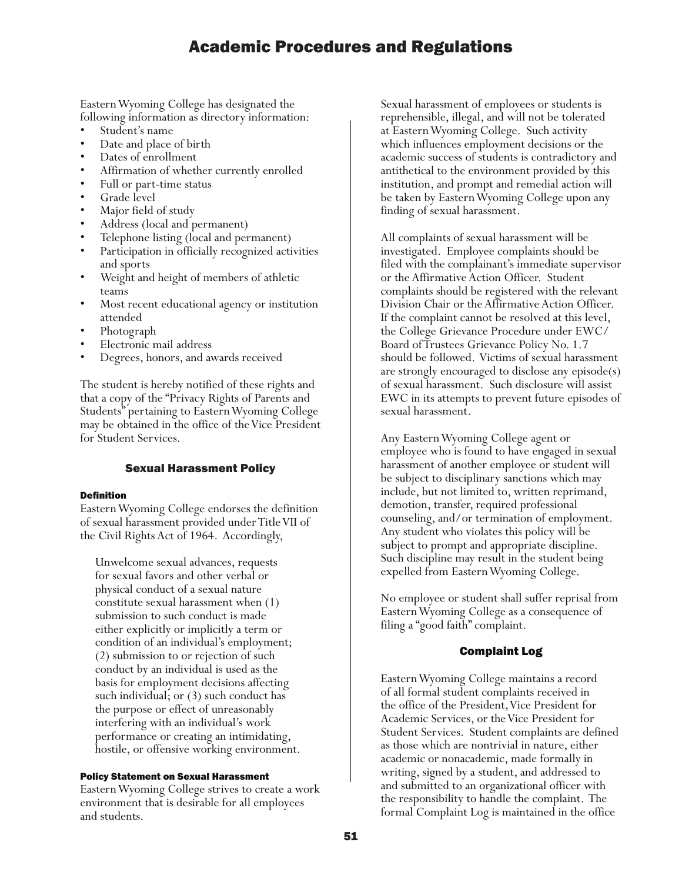Eastern Wyoming College has designated the following information as directory information:

- 
- 
- 
- 
- 
- 
- 
- 
- 
- Student's name<br>• Date and place of birth<br>• Dates of enrollment<br>• Affirmation of whether currently enrolled<br>• Full or part-time status<br>• Grade level<br>• Major field of study<br>• Address (local and permanent)<br>• Telephone listi
- and sports<br>Weight and height of members of athletic
- teams<br>Most recent educational agency or institution
- 
- 
- attended<br>• Photograph<br>• Electronic mail address<br>• Degrees, honors, and awards received

The student is hereby notified of these rights and that a copy of the "Privacy Rights of Parents and Students" pertaining to Eastern Wyoming College may be obtained in the office of the Vice President for Student Services.

### Sexual Harassment Policy

#### Definition

Eastern Wyoming College endorses the definition of sexual harassment provided under Title VII of the Civil Rights Act of 1964. Accordingly,

Unwelcome sexual advances, requests for sexual favors and other verbal or physical conduct of a sexual nature constitute sexual harassment when (1) submission to such conduct is made either explicitly or implicitly a term or condition of an individual's employment; (2) submission to or rejection of such conduct by an individual is used as the basis for employment decisions affecting such individual; or (3) such conduct has the purpose or effect of unreasonably interfering with an individual's work performance or creating an intimidating, hostile, or offensive working environment.

#### Policy Statement on Sexual Harassment

Eastern Wyoming College strives to create a work environment that is desirable for all employees and students.

Sexual harassment of employees or students is reprehensible, illegal, and will not be tolerated at Eastern Wyoming College. Such activity which influences employment decisions or the academic success of students is contradictory and antithetical to the environment provided by this institution, and prompt and remedial action will be taken by Eastern Wyoming College upon any finding of sexual harassment.

All complaints of sexual harassment will be investigated. Employee complaints should be filed with the complainant's immediate supervisor or the Affirmative Action Officer. Student complaints should be registered with the relevant Division Chair or the Affirmative Action Officer. If the complaint cannot be resolved at this level, the College Grievance Procedure under EWC/ Board of Trustees Grievance Policy No. 1.7 should be followed. Victims of sexual harassment are strongly encouraged to disclose any episode(s) of sexual harassment. Such disclosure will assist EWC in its attempts to prevent future episodes of sexual harassment.

Any Eastern Wyoming College agent or employee who is found to have engaged in sexual harassment of another employee or student will be subject to disciplinary sanctions which may include, but not limited to, written reprimand, demotion, transfer, required professional counseling, and/or termination of employment. Any student who violates this policy will be subject to prompt and appropriate discipline. Such discipline may result in the student being expelled from Eastern Wyoming College.

No employee or student shall suffer reprisal from Eastern Wyoming College as a consequence of filing a "good faith" complaint.

### Complaint Log

Eastern Wyoming College maintains a record of all formal student complaints received in the office of the President, Vice President for Academic Services, or the Vice President for Student Services. Student complaints are defined as those which are nontrivial in nature, either academic or nonacademic, made formally in writing, signed by a student, and addressed to and submitted to an organizational officer with the responsibility to handle the complaint. The formal Complaint Log is maintained in the office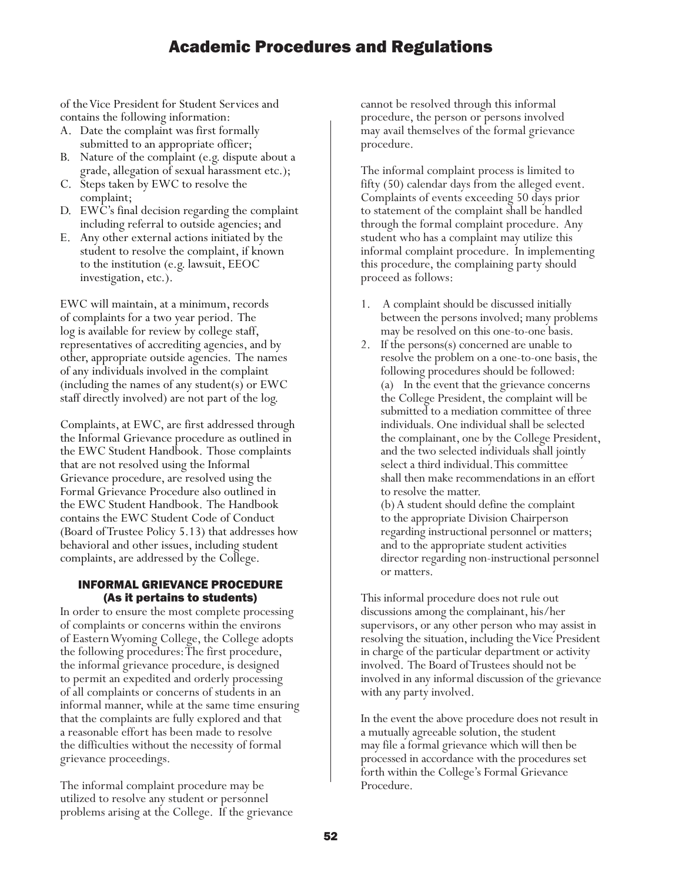of the Vice President for Student Services and contains the following information:

- A. Date the complaint was first formally submitted to an appropriate officer;
- B. Nature of the complaint (e.g. dispute about a grade, allegation of sexual harassment etc.);
- C. Steps taken by EWC to resolve the complaint;
- D. EWC's final decision regarding the complaint including referral to outside agencies; and
- E. Any other external actions initiated by the student to resolve the complaint, if known to the institution (e.g. lawsuit, EEOC investigation, etc.).

EWC will maintain, at a minimum, records of complaints for a two year period. The log is available for review by college staff, representatives of accrediting agencies, and by other, appropriate outside agencies. The names of any individuals involved in the complaint (including the names of any student(s) or EWC staff directly involved) are not part of the log.

Complaints, at EWC, are first addressed through the Informal Grievance procedure as outlined in the EWC Student Handbook. Those complaints that are not resolved using the Informal Grievance procedure, are resolved using the Formal Grievance Procedure also outlined in the EWC Student Handbook. The Handbook contains the EWC Student Code of Conduct (Board of Trustee Policy 5.13) that addresses how behavioral and other issues, including student complaints, are addressed by the College.

### INFORMAL GRIEVANCE PROCEDURE (As it pertains to students)

In order to ensure the most complete processing of complaints or concerns within the environs of Eastern Wyoming College, the College adopts the following procedures: The first procedure, the informal grievance procedure, is designed to permit an expedited and orderly processing of all complaints or concerns of students in an informal manner, while at the same time ensuring that the complaints are fully explored and that a reasonable effort has been made to resolve the difficulties without the necessity of formal grievance proceedings.

The informal complaint procedure may be utilized to resolve any student or personnel problems arising at the College. If the grievance cannot be resolved through this informal procedure, the person or persons involved may avail themselves of the formal grievance procedure.

The informal complaint process is limited to fifty (50) calendar days from the alleged event. Complaints of events exceeding 50 days prior to statement of the complaint shall be handled through the formal complaint procedure. Any student who has a complaint may utilize this informal complaint procedure. In implementing this procedure, the complaining party should proceed as follows:

- 1. A complaint should be discussed initially between the persons involved; many problems may be resolved on this one-to-one basis.
- 2. If the persons(s) concerned are unable to resolve the problem on a one-to-one basis, the following procedures should be followed: (a) In the event that the grievance concerns the College President, the complaint will be submitted to a mediation committee of three individuals. One individual shall be selected the complainant, one by the College President, and the two selected individuals shall jointly select a third individual. This committee shall then make recommendations in an effort to resolve the matter.

(b) A student should define the complaint to the appropriate Division Chairperson regarding instructional personnel or matters; and to the appropriate student activities director regarding non-instructional personnel or matters.

This informal procedure does not rule out discussions among the complainant, his/her supervisors, or any other person who may assist in resolving the situation, including the Vice President in charge of the particular department or activity involved. The Board of Trustees should not be involved in any informal discussion of the grievance with any party involved.

In the event the above procedure does not result in a mutually agreeable solution, the student may file a formal grievance which will then be processed in accordance with the procedures set forth within the College's Formal Grievance Procedure.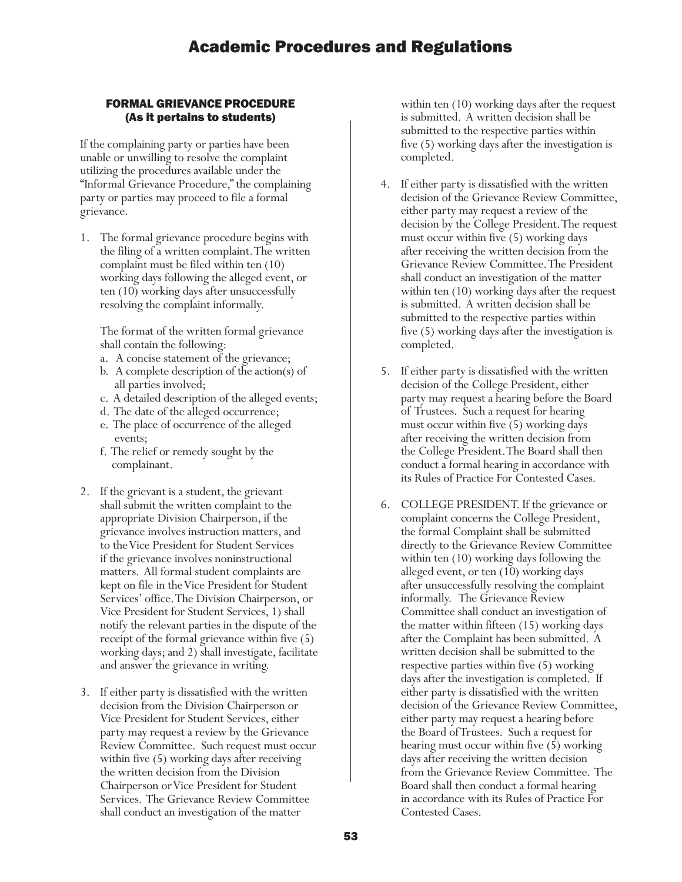# FORMAL GRIEVANCE PROCEDURE (As it pertains to students)

If the complaining party or parties have been unable or unwilling to resolve the complaint utilizing the procedures available under the "Informal Grievance Procedure," the complaining party or parties may proceed to file a formal grievance.

1. The formal grievance procedure begins with the filing of a written complaint. The written complaint must be filed within ten (10) working days following the alleged event, or ten (10) working days after unsuccessfully resolving the complaint informally.

The format of the written formal grievance shall contain the following:

- a. A concise statement of the grievance;
- b. A complete description of the action(s) of all parties involved;
- c. A detailed description of the alleged events;
- d. The date of the alleged occurrence;
- e. The place of occurrence of the alleged events;
- f. The relief or remedy sought by the complainant.
- 2. If the grievant is a student, the grievant shall submit the written complaint to the appropriate Division Chairperson, if the grievance involves instruction matters, and to the Vice President for Student Services if the grievance involves noninstructional matters. All formal student complaints are kept on file in the Vice President for Student Services' office. The Division Chairperson, or Vice President for Student Services, 1) shall notify the relevant parties in the dispute of the receipt of the formal grievance within five (5) working days; and 2) shall investigate, facilitate and answer the grievance in writing.
- 3. If either party is dissatisfied with the written decision from the Division Chairperson or Vice President for Student Services, either party may request a review by the Grievance Review Committee. Such request must occur within five (5) working days after receiving the written decision from the Division Chairperson or Vice President for Student Services. The Grievance Review Committee shall conduct an investigation of the matter

within ten (10) working days after the request is submitted. A written decision shall be submitted to the respective parties within five (5) working days after the investigation is completed.

- 4. If either party is dissatisfied with the written decision of the Grievance Review Committee, either party may request a review of the decision by the College President. The request must occur within five (5) working days after receiving the written decision from the Grievance Review Committee. The President shall conduct an investigation of the matter within ten  $(10)$  working days after the request is submitted. A written decision shall be submitted to the respective parties within five (5) working days after the investigation is completed.
- 5. If either party is dissatisfied with the written decision of the College President, either party may request a hearing before the Board of Trustees. Such a request for hearing must occur within five (5) working days after receiving the written decision from the College President. The Board shall then conduct a formal hearing in accordance with its Rules of Practice For Contested Cases.
- 6. COLLEGE PRESIDENT. If the grievance or complaint concerns the College President, the formal Complaint shall be submitted directly to the Grievance Review Committee within ten (10) working days following the alleged event, or ten (10) working days after unsuccessfully resolving the complaint informally. The Grievance Review Committee shall conduct an investigation of the matter within fifteen (15) working days after the Complaint has been submitted. A written decision shall be submitted to the respective parties within five (5) working days after the investigation is completed. If either party is dissatisfied with the written decision of the Grievance Review Committee, either party may request a hearing before the Board of Trustees. Such a request for hearing must occur within five (5) working days after receiving the written decision from the Grievance Review Committee. The Board shall then conduct a formal hearing in accordance with its Rules of Practice For Contested Cases.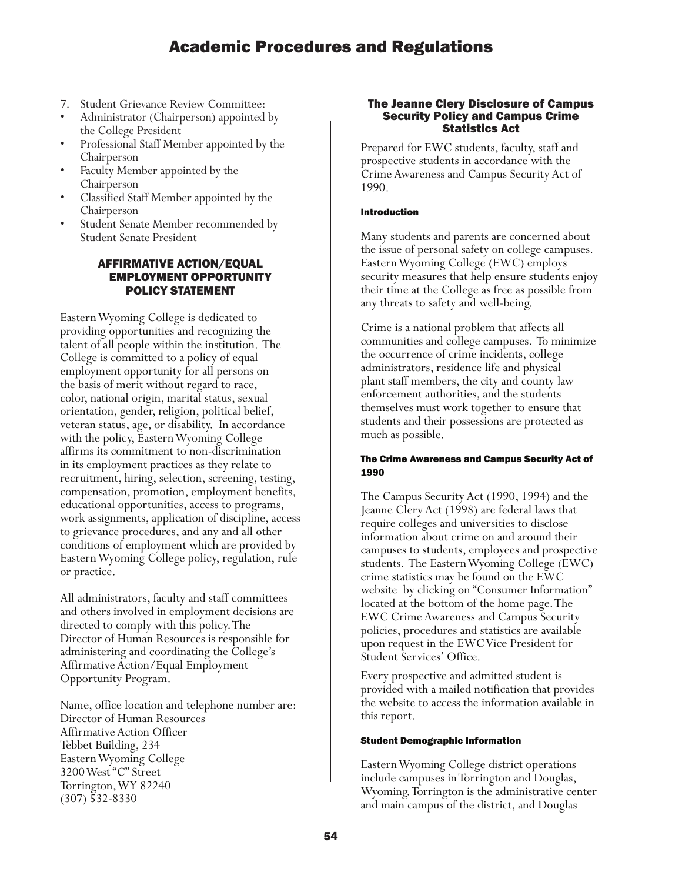- 
- 7. Student Grievance Review Committee: Administrator (Chairperson) appointed by
- the College President<br>• Professional Staff Member appointed by the
- Chairperson Faculty Member appointed by the Chairperson Classified Staff Member appointed by the
- 
- Chairperson<br>
Student Senate Member recommended by Student Senate President

# AFFIRMATIVE ACTION/EQUAL EMPLOYMENT OPPORTUNITY POLICY STATEMENT

Eastern Wyoming College is dedicated to providing opportunities and recognizing the talent of all people within the institution. The College is committed to a policy of equal employment opportunity for all persons on the basis of merit without regard to race, color, national origin, marital status, sexual orientation, gender, religion, political belief, veteran status, age, or disability. In accordance with the policy, Eastern Wyoming College affirms its commitment to non-discrimination in its employment practices as they relate to recruitment, hiring, selection, screening, testing, compensation, promotion, employment benefits, educational opportunities, access to programs, work assignments, application of discipline, access to grievance procedures, and any and all other conditions of employment which are provided by Eastern Wyoming College policy, regulation, rule or practice.

All administrators, faculty and staff committees and others involved in employment decisions are directed to comply with this policy. The Director of Human Resources is responsible for administering and coordinating the College's Affirmative Action/Equal Employment Opportunity Program.

Name, office location and telephone number are: Director of Human Resources Affirmative Action Officer Tebbet Building, 234 Eastern Wyoming College 3200 West "C" Street Torrington, WY 82240 (307) 532-8330

### The Jeanne Clery Disclosure of Campus Security Policy and Campus Crime Statistics Act

Prepared for EWC students, faculty, staff and prospective students in accordance with the Crime Awareness and Campus Security Act of 1990.

### Introduction

Many students and parents are concerned about the issue of personal safety on college campuses. Eastern Wyoming College (EWC) employs security measures that help ensure students enjoy their time at the College as free as possible from any threats to safety and well-being.

Crime is a national problem that affects all communities and college campuses. To minimize the occurrence of crime incidents, college administrators, residence life and physical plant staff members, the city and county law enforcement authorities, and the students themselves must work together to ensure that students and their possessions are protected as much as possible.

### The Crime Awareness and Campus Security Act of 1990

The Campus Security Act (1990, 1994) and the Jeanne Clery Act (1998) are federal laws that require colleges and universities to disclose information about crime on and around their campuses to students, employees and prospective students. The Eastern Wyoming College (EWC) crime statistics may be found on the EWC website by clicking on "Consumer Information" located at the bottom of the home page. The EWC Crime Awareness and Campus Security policies, procedures and statistics are available upon request in the EWC Vice President for Student Services' Office.

Every prospective and admitted student is provided with a mailed notification that provides the website to access the information available in this report.

### Student Demographic Information

Eastern Wyoming College district operations include campuses in Torrington and Douglas, Wyoming. Torrington is the administrative center and main campus of the district, and Douglas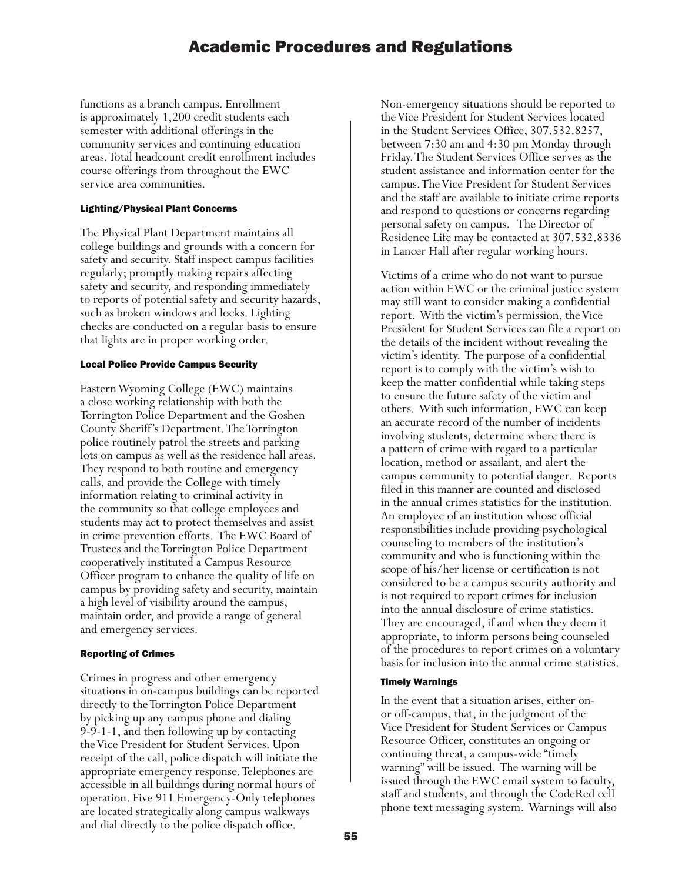functions as a branch campus. Enrollment is approximately 1,200 credit students each semester with additional offerings in the community services and continuing education areas. Total headcount credit enrollment includes course offerings from throughout the EWC service area communities.

#### Lighting/Physical Plant Concerns

The Physical Plant Department maintains all college buildings and grounds with a concern for safety and security. Staff inspect campus facilities regularly; promptly making repairs affecting safety and security, and responding immediately to reports of potential safety and security hazards, such as broken windows and locks. Lighting checks are conducted on a regular basis to ensure that lights are in proper working order.

### Local Police Provide Campus Security

Eastern Wyoming College (EWC) maintains a close working relationship with both the Torrington Police Department and the Goshen County Sheriff's Department. The Torrington police routinely patrol the streets and parking lots on campus as well as the residence hall areas. They respond to both routine and emergency calls, and provide the College with timely information relating to criminal activity in the community so that college employees and students may act to protect themselves and assist in crime prevention efforts. The EWC Board of Trustees and the Torrington Police Department cooperatively instituted a Campus Resource Officer program to enhance the quality of life on campus by providing safety and security, maintain a high level of visibility around the campus, maintain order, and provide a range of general and emergency services.

### Reporting of Crimes

Crimes in progress and other emergency situations in on-campus buildings can be reported directly to the Torrington Police Department by picking up any campus phone and dialing 9-9-1-1, and then following up by contacting the Vice President for Student Services. Upon receipt of the call, police dispatch will initiate the appropriate emergency response. Telephones are accessible in all buildings during normal hours of operation. Five 911 Emergency-Only telephones are located strategically along campus walkways and dial directly to the police dispatch office.

Non-emergency situations should be reported to the Vice President for Student Services located in the Student Services Office, 307.532.8257, between 7:30 am and 4:30 pm Monday through Friday. The Student Services Office serves as the student assistance and information center for the campus. The Vice President for Student Services and the staff are available to initiate crime reports and respond to questions or concerns regarding personal safety on campus. The Director of Residence Life may be contacted at 307.532.8336 in Lancer Hall after regular working hours.

Victims of a crime who do not want to pursue action within EWC or the criminal justice system may still want to consider making a confidential report. With the victim's permission, the Vice President for Student Services can file a report on the details of the incident without revealing the victim's identity. The purpose of a confidential report is to comply with the victim's wish to keep the matter confidential while taking steps to ensure the future safety of the victim and others. With such information, EWC can keep an accurate record of the number of incidents involving students, determine where there is a pattern of crime with regard to a particular location, method or assailant, and alert the campus community to potential danger. Reports filed in this manner are counted and disclosed in the annual crimes statistics for the institution. An employee of an institution whose official responsibilities include providing psychological counseling to members of the institution's community and who is functioning within the scope of his/her license or certification is not considered to be a campus security authority and is not required to report crimes for inclusion into the annual disclosure of crime statistics. They are encouraged, if and when they deem it appropriate, to inform persons being counseled of the procedures to report crimes on a voluntary basis for inclusion into the annual crime statistics.

#### Timely Warnings

In the event that a situation arises, either onor off-campus, that, in the judgment of the Vice President for Student Services or Campus Resource Officer, constitutes an ongoing or continuing threat, a campus-wide "timely warning" will be issued. The warning will be issued through the EWC email system to faculty, staff and students, and through the CodeRed cell phone text messaging system. Warnings will also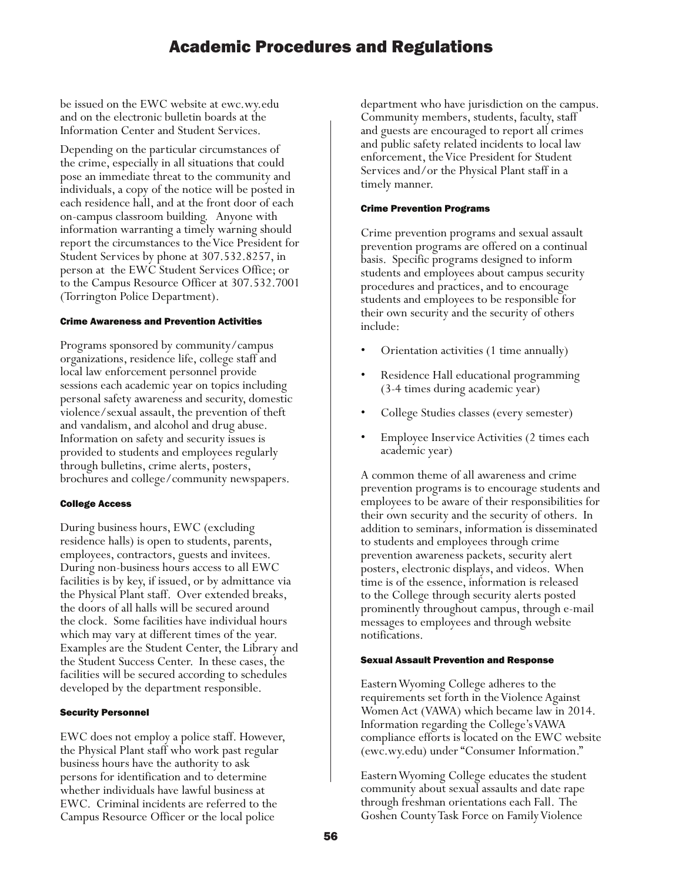be issued on the EWC website at ewc.wy.edu and on the electronic bulletin boards at the Information Center and Student Services.

Depending on the particular circumstances of the crime, especially in all situations that could pose an immediate threat to the community and individuals, a copy of the notice will be posted in each residence hall, and at the front door of each on-campus classroom building. Anyone with information warranting a timely warning should report the circumstances to the Vice President for Student Services by phone at 307.532.8257, in person at the EWC Student Services Office; or to the Campus Resource Officer at 307.532.7001 (Torrington Police Department).

### Crime Awareness and Prevention Activities

Programs sponsored by community/campus organizations, residence life, college staff and local law enforcement personnel provide sessions each academic year on topics including personal safety awareness and security, domestic violence/sexual assault, the prevention of theft and vandalism, and alcohol and drug abuse. Information on safety and security issues is provided to students and employees regularly through bulletins, crime alerts, posters, brochures and college/community newspapers.

#### College Access

During business hours, EWC (excluding residence halls) is open to students, parents, employees, contractors, guests and invitees. During non-business hours access to all EWC facilities is by key, if issued, or by admittance via the Physical Plant staff. Over extended breaks, the doors of all halls will be secured around the clock. Some facilities have individual hours which may vary at different times of the year. Examples are the Student Center, the Library and the Student Success Center. In these cases, the facilities will be secured according to schedules developed by the department responsible.

#### Security Personnel

EWC does not employ a police staff. However, the Physical Plant staff who work past regular business hours have the authority to ask persons for identification and to determine whether individuals have lawful business at EWC. Criminal incidents are referred to the Campus Resource Officer or the local police

department who have jurisdiction on the campus. Community members, students, faculty, staff and guests are encouraged to report all crimes and public safety related incidents to local law enforcement, the Vice President for Student Services and/or the Physical Plant staff in a timely manner.

#### Crime Prevention Programs

Crime prevention programs and sexual assault prevention programs are offered on a continual basis. Specific programs designed to inform students and employees about campus security procedures and practices, and to encourage students and employees to be responsible for their own security and the security of others include:

- Orientation activities (1 time annually)
- Residence Hall educational programming (3-4 times during academic year)
- College Studies classes (every semester)
- Employee Inservice Activities (2 times each academic year)

A common theme of all awareness and crime prevention programs is to encourage students and employees to be aware of their responsibilities for their own security and the security of others. In addition to seminars, information is disseminated to students and employees through crime prevention awareness packets, security alert posters, electronic displays, and videos. When time is of the essence, information is released to the College through security alerts posted prominently throughout campus, through e-mail messages to employees and through website notifications.

#### Sexual Assault Prevention and Response

Eastern Wyoming College adheres to the requirements set forth in the Violence Against Women Act (VAWA) which became law in 2014. Information regarding the College's VAWA compliance efforts is located on the EWC website (ewc.wy.edu) under "Consumer Information."

Eastern Wyoming College educates the student community about sexual assaults and date rape through freshman orientations each Fall. The Goshen County Task Force on Family Violence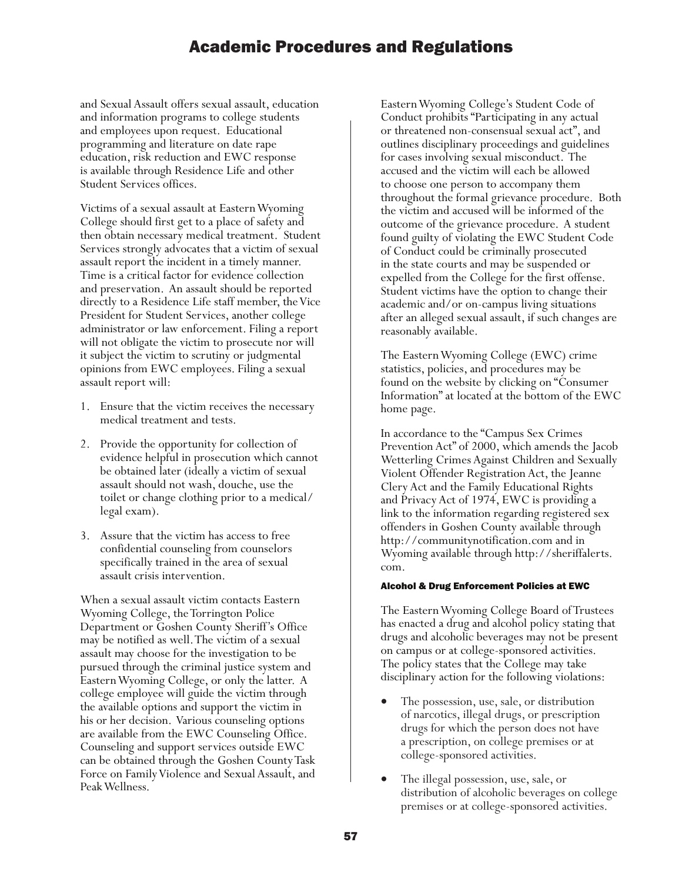and Sexual Assault offers sexual assault, education and information programs to college students and employees upon request. Educational programming and literature on date rape education, risk reduction and EWC response is available through Residence Life and other Student Services offices.

Victims of a sexual assault at Eastern Wyoming College should first get to a place of safety and then obtain necessary medical treatment. Student Services strongly advocates that a victim of sexual assault report the incident in a timely manner. Time is a critical factor for evidence collection and preservation. An assault should be reported directly to a Residence Life staff member, the Vice President for Student Services, another college administrator or law enforcement. Filing a report will not obligate the victim to prosecute nor will it subject the victim to scrutiny or judgmental opinions from EWC employees. Filing a sexual assault report will:

- 1. Ensure that the victim receives the necessary medical treatment and tests.
- 2. Provide the opportunity for collection of evidence helpful in prosecution which cannot be obtained later (ideally a victim of sexual assault should not wash, douche, use the toilet or change clothing prior to a medical/ legal exam).
- 3. Assure that the victim has access to free confidential counseling from counselors specifically trained in the area of sexual assault crisis intervention.

When a sexual assault victim contacts Eastern Wyoming College, the Torrington Police Department or Goshen County Sheriff's Office may be notified as well. The victim of a sexual assault may choose for the investigation to be pursued through the criminal justice system and Eastern Wyoming College, or only the latter. A college employee will guide the victim through the available options and support the victim in his or her decision. Various counseling options are available from the EWC Counseling Office. Counseling and support services outside EWC can be obtained through the Goshen County Task Force on Family Violence and Sexual Assault, and Peak Wellness.

Eastern Wyoming College's Student Code of Conduct prohibits "Participating in any actual or threatened non-consensual sexual act", and outlines disciplinary proceedings and guidelines for cases involving sexual misconduct. The accused and the victim will each be allowed to choose one person to accompany them throughout the formal grievance procedure. Both the victim and accused will be informed of the outcome of the grievance procedure. A student found guilty of violating the EWC Student Code of Conduct could be criminally prosecuted in the state courts and may be suspended or expelled from the College for the first offense. Student victims have the option to change their academic and/or on-campus living situations after an alleged sexual assault, if such changes are reasonably available.

The Eastern Wyoming College (EWC) crime statistics, policies, and procedures may be found on the website by clicking on "Consumer Information" at located at the bottom of the EWC home page.

In accordance to the "Campus Sex Crimes Prevention Act" of 2000, which amends the Jacob Wetterling Crimes Against Children and Sexually Violent Offender Registration Act, the Jeanne Clery Act and the Family Educational Rights and Privacy Act of 1974, EWC is providing a link to the information regarding registered sex offenders in Goshen County available through http://communitynotification.com and in Wyoming available through http://sheriffalerts. com.

### Alcohol & Drug Enforcement Policies at EWC

The Eastern Wyoming College Board of Trustees has enacted a drug and alcohol policy stating that drugs and alcoholic beverages may not be present on campus or at college-sponsored activities. The policy states that the College may take disciplinary action for the following violations:

- The possession, use, sale, or distribution of narcotics, illegal drugs, or prescription drugs for which the person does not have a prescription, on college premises or at college-sponsored activities.
- The illegal possession, use, sale, or distribution of alcoholic beverages on college premises or at college-sponsored activities.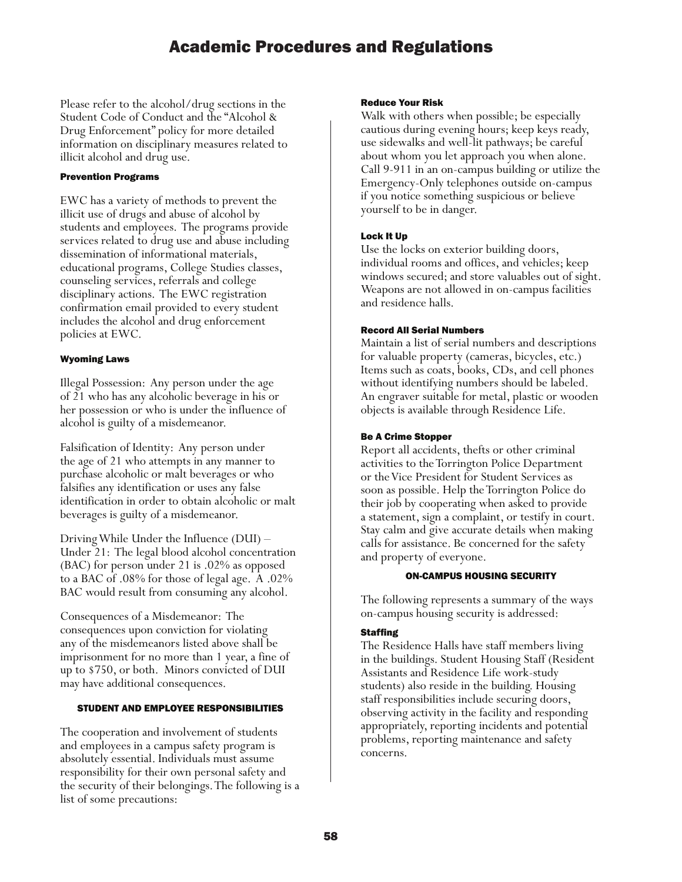Please refer to the alcohol/drug sections in the Student Code of Conduct and the "Alcohol & Drug Enforcement" policy for more detailed information on disciplinary measures related to illicit alcohol and drug use.

### Prevention Programs

EWC has a variety of methods to prevent the illicit use of drugs and abuse of alcohol by students and employees. The programs provide services related to drug use and abuse including dissemination of informational materials, educational programs, College Studies classes, counseling services, referrals and college disciplinary actions. The EWC registration confirmation email provided to every student includes the alcohol and drug enforcement policies at EWC.

### Wyoming Laws

Illegal Possession: Any person under the age of 21 who has any alcoholic beverage in his or her possession or who is under the influence of alcohol is guilty of a misdemeanor.

Falsification of Identity: Any person under the age of 21 who attempts in any manner to purchase alcoholic or malt beverages or who falsifies any identification or uses any false identification in order to obtain alcoholic or malt beverages is guilty of a misdemeanor.

Driving While Under the Influence (DUI) – Under 21: The legal blood alcohol concentration (BAC) for person under 21 is .02% as opposed to a BAC of .08% for those of legal age. A .02% BAC would result from consuming any alcohol.

Consequences of a Misdemeanor: The consequences upon conviction for violating any of the misdemeanors listed above shall be imprisonment for no more than 1 year, a fine of up to \$750, or both. Minors convicted of DUI may have additional consequences.

### STUDENT AND EMPLOYEE RESPONSIBILITIES

The cooperation and involvement of students and employees in a campus safety program is absolutely essential. Individuals must assume responsibility for their own personal safety and the security of their belongings. The following is a list of some precautions:

#### Reduce Your Risk

Walk with others when possible; be especially cautious during evening hours; keep keys ready, use sidewalks and well-lit pathways; be careful about whom you let approach you when alone. Call 9-911 in an on-campus building or utilize the Emergency-Only telephones outside on-campus if you notice something suspicious or believe yourself to be in danger.

### Lock It Up

Use the locks on exterior building doors, individual rooms and offices, and vehicles; keep windows secured; and store valuables out of sight. Weapons are not allowed in on-campus facilities and residence halls.

### Record All Serial Numbers

Maintain a list of serial numbers and descriptions for valuable property (cameras, bicycles, etc.) Items such as coats, books, CDs, and cell phones without identifying numbers should be labeled. An engraver suitable for metal, plastic or wooden objects is available through Residence Life.

#### Be A Crime Stopper

Report all accidents, thefts or other criminal activities to the Torrington Police Department or the Vice President for Student Services as soon as possible. Help the Torrington Police do their job by cooperating when asked to provide a statement, sign a complaint, or testify in court. Stay calm and give accurate details when making calls for assistance. Be concerned for the safety and property of everyone.

#### ON-CAMPUS HOUSING SECURITY

The following represents a summary of the ways on-campus housing security is addressed:

### Staffing

The Residence Halls have staff members living in the buildings. Student Housing Staff (Resident Assistants and Residence Life work-study students) also reside in the building. Housing staff responsibilities include securing doors, observing activity in the facility and responding appropriately, reporting incidents and potential problems, reporting maintenance and safety concerns.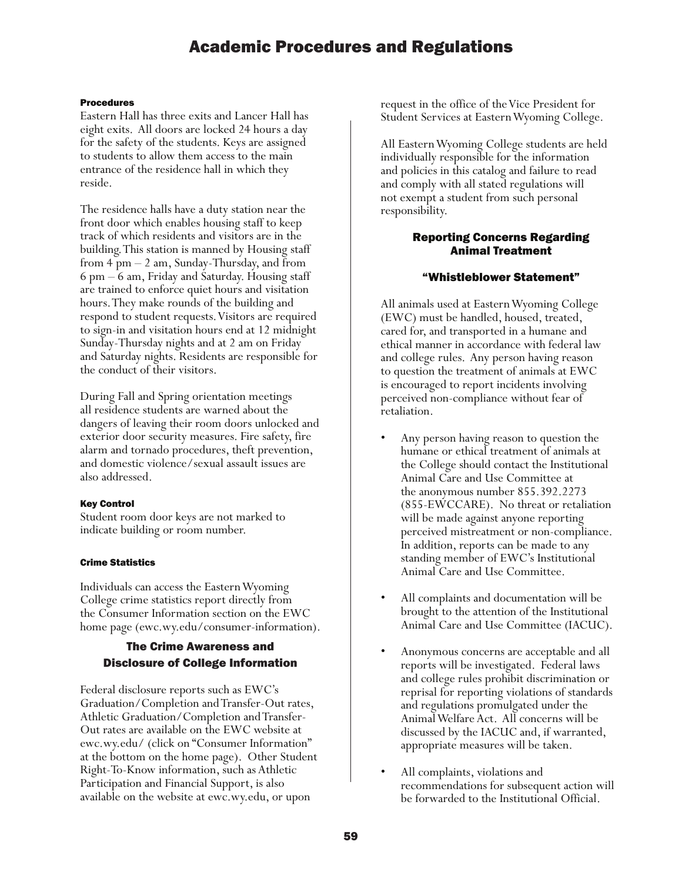### Procedures

Eastern Hall has three exits and Lancer Hall has eight exits. All doors are locked 24 hours a day for the safety of the students. Keys are assigned to students to allow them access to the main entrance of the residence hall in which they reside.

The residence halls have a duty station near the front door which enables housing staff to keep track of which residents and visitors are in the building. This station is manned by Housing staff from 4 pm – 2 am, Sunday-Thursday, and from 6 pm – 6 am, Friday and Saturday. Housing staff are trained to enforce quiet hours and visitation hours. They make rounds of the building and respond to student requests. Visitors are required to sign-in and visitation hours end at 12 midnight Sunday-Thursday nights and at 2 am on Friday and Saturday nights. Residents are responsible for the conduct of their visitors.

During Fall and Spring orientation meetings all residence students are warned about the dangers of leaving their room doors unlocked and exterior door security measures. Fire safety, fire alarm and tornado procedures, theft prevention, and domestic violence/sexual assault issues are also addressed.

### Key Control

Student room door keys are not marked to indicate building or room number.

### Crime Statistics

Individuals can access the Eastern Wyoming College crime statistics report directly from the Consumer Information section on the EWC home page (ewc.wy.edu/consumer-information).

# The Crime Awareness and Disclosure of College Information

Federal disclosure reports such as EWC's Graduation/Completion and Transfer-Out rates, Athletic Graduation/Completion and Transfer-Out rates are available on the EWC website at ewc.wy.edu/ (click on "Consumer Information" at the bottom on the home page). Other Student Right-To-Know information, such as Athletic Participation and Financial Support, is also available on the website at ewc.wy.edu, or upon

request in the office of the Vice President for Student Services at Eastern Wyoming College.

Student Responsibility All Eastern Wyoming College students are held individually responsible for the information and policies in this catalog and failure to read and comply with all stated regulations will not exempt a student from such personal responsibility.

### Reporting Concerns Regarding Animal Treatment

### "Whistleblower Statement"

All animals used at Eastern Wyoming College (EWC) must be handled, housed, treated, cared for, and transported in a humane and ethical manner in accordance with federal law and college rules. Any person having reason to question the treatment of animals at EWC is encouraged to report incidents involving perceived non-compliance without fear of retaliation.

- Any person having reason to question the humane or ethical treatment of animals at the College should contact the Institutional Animal Care and Use Committee at the anonymous number 855.392.2273 (855-EWCCARE). No threat or retaliation will be made against anyone reporting perceived mistreatment or non-compliance. In addition, reports can be made to any standing member of EWC's Institutional Animal Care and Use Committee.
- All complaints and documentation will be brought to the attention of the Institutional Animal Care and Use Committee (IACUC).
- Anonymous concerns are acceptable and all reports will be investigated. Federal laws and college rules prohibit discrimination or reprisal for reporting violations of standards and regulations promulgated under the Animal Welfare Act. All concerns will be discussed by the IACUC and, if warranted, appropriate measures will be taken.
- All complaints, violations and recommendations for subsequent action will be forwarded to the Institutional Official.